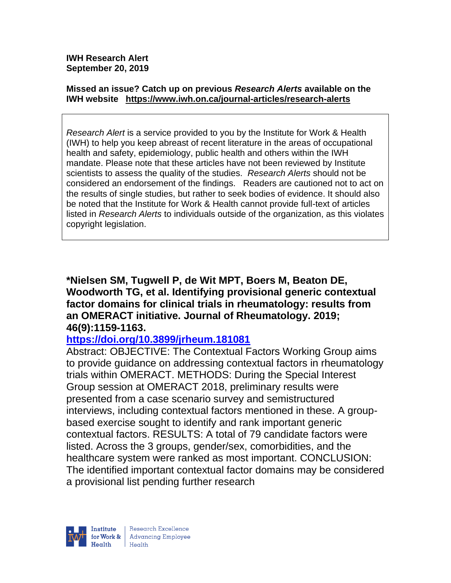**IWH Research Alert September 20, 2019**

#### **Missed an issue? Catch up on previous** *Research Alerts* **available on the [IWH website](http://www.iwh.on.ca/research-alerts) <https://www.iwh.on.ca/journal-articles/research-alerts>**

*Research Alert* is a service provided to you by the Institute for Work & Health (IWH) to help you keep abreast of recent literature in the areas of occupational health and safety, epidemiology, public health and others within the IWH mandate. Please note that these articles have not been reviewed by Institute scientists to assess the quality of the studies. *Research Alerts* should not be considered an endorsement of the findings. Readers are cautioned not to act on the results of single studies, but rather to seek bodies of evidence. It should also be noted that the Institute for Work & Health cannot provide full-text of articles listed in *Research Alerts* to individuals outside of the organization, as this violates copyright legislation.

**\*Nielsen SM, Tugwell P, de Wit MPT, Boers M, Beaton DE, Woodworth TG, et al. Identifying provisional generic contextual factor domains for clinical trials in rheumatology: results from an OMERACT initiative. Journal of Rheumatology. 2019; 46(9):1159-1163.** 

## **<https://doi.org/10.3899/jrheum.181081>**

Abstract: OBJECTIVE: The Contextual Factors Working Group aims to provide guidance on addressing contextual factors in rheumatology trials within OMERACT. METHODS: During the Special Interest Group session at OMERACT 2018, preliminary results were presented from a case scenario survey and semistructured interviews, including contextual factors mentioned in these. A groupbased exercise sought to identify and rank important generic contextual factors. RESULTS: A total of 79 candidate factors were listed. Across the 3 groups, gender/sex, comorbidities, and the healthcare system were ranked as most important. CONCLUSION: The identified important contextual factor domains may be considered a provisional list pending further research

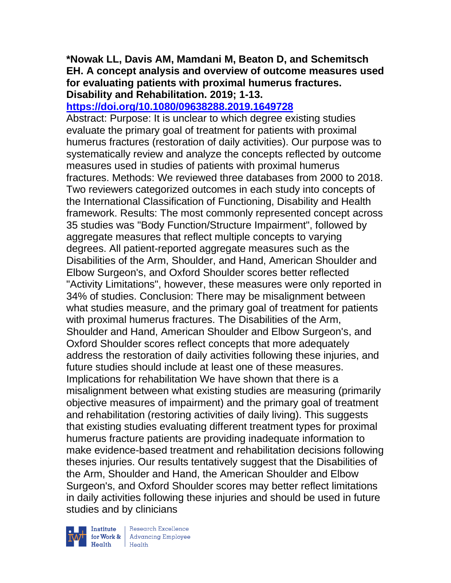### **\*Nowak LL, Davis AM, Mamdani M, Beaton D, and Schemitsch EH. A concept analysis and overview of outcome measures used for evaluating patients with proximal humerus fractures. Disability and Rehabilitation. 2019; 1-13.**

# **<https://doi.org/10.1080/09638288.2019.1649728>**

Abstract: Purpose: It is unclear to which degree existing studies evaluate the primary goal of treatment for patients with proximal humerus fractures (restoration of daily activities). Our purpose was to systematically review and analyze the concepts reflected by outcome measures used in studies of patients with proximal humerus fractures. Methods: We reviewed three databases from 2000 to 2018. Two reviewers categorized outcomes in each study into concepts of the International Classification of Functioning, Disability and Health framework. Results: The most commonly represented concept across 35 studies was "Body Function/Structure Impairment", followed by aggregate measures that reflect multiple concepts to varying degrees. All patient-reported aggregate measures such as the Disabilities of the Arm, Shoulder, and Hand, American Shoulder and Elbow Surgeon's, and Oxford Shoulder scores better reflected "Activity Limitations", however, these measures were only reported in 34% of studies. Conclusion: There may be misalignment between what studies measure, and the primary goal of treatment for patients with proximal humerus fractures. The Disabilities of the Arm, Shoulder and Hand, American Shoulder and Elbow Surgeon's, and Oxford Shoulder scores reflect concepts that more adequately address the restoration of daily activities following these injuries, and future studies should include at least one of these measures. Implications for rehabilitation We have shown that there is a misalignment between what existing studies are measuring (primarily objective measures of impairment) and the primary goal of treatment and rehabilitation (restoring activities of daily living). This suggests that existing studies evaluating different treatment types for proximal humerus fracture patients are providing inadequate information to make evidence-based treatment and rehabilitation decisions following theses injuries. Our results tentatively suggest that the Disabilities of the Arm, Shoulder and Hand, the American Shoulder and Elbow Surgeon's, and Oxford Shoulder scores may better reflect limitations in daily activities following these injuries and should be used in future studies and by clinicians



 $\begin{tabular}{|l|} Institute & Research Excellence \\ \hline for Work & Advancing Employee \\ Health & Health \\ \end{tabular}$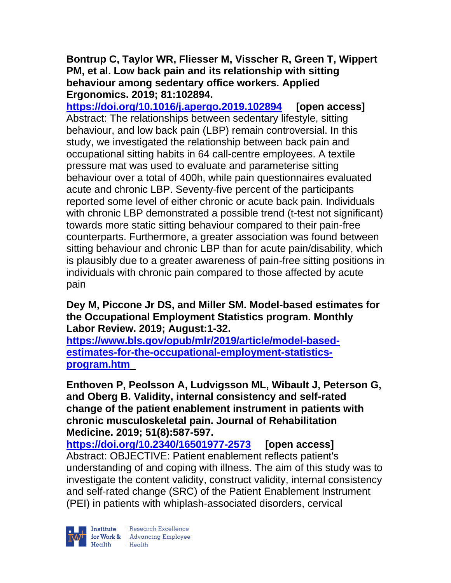**Bontrup C, Taylor WR, Fliesser M, Visscher R, Green T, Wippert PM, et al. Low back pain and its relationship with sitting behaviour among sedentary office workers. Applied Ergonomics. 2019; 81:102894.**

**<https://doi.org/10.1016/j.apergo.2019.102894> [open access]** Abstract: The relationships between sedentary lifestyle, sitting behaviour, and low back pain (LBP) remain controversial. In this study, we investigated the relationship between back pain and occupational sitting habits in 64 call-centre employees. A textile pressure mat was used to evaluate and parameterise sitting behaviour over a total of 400h, while pain questionnaires evaluated acute and chronic LBP. Seventy-five percent of the participants reported some level of either chronic or acute back pain. Individuals with chronic LBP demonstrated a possible trend (t-test not significant) towards more static sitting behaviour compared to their pain-free counterparts. Furthermore, a greater association was found between sitting behaviour and chronic LBP than for acute pain/disability, which is plausibly due to a greater awareness of pain-free sitting positions in individuals with chronic pain compared to those affected by acute pain

## **Dey M, Piccone Jr DS, and Miller SM. Model-based estimates for the Occupational Employment Statistics program. Monthly Labor Review. 2019; August:1-32.**

**[https://www.bls.gov/opub/mlr/2019/article/model-based](https://www.bls.gov/opub/mlr/2019/article/model-based-estimates-for-the-occupational-employment-statistics-program.htm)[estimates-for-the-occupational-employment-statistics](https://www.bls.gov/opub/mlr/2019/article/model-based-estimates-for-the-occupational-employment-statistics-program.htm)[program.htm](https://www.bls.gov/opub/mlr/2019/article/model-based-estimates-for-the-occupational-employment-statistics-program.htm)**

**Enthoven P, Peolsson A, Ludvigsson ML, Wibault J, Peterson G, and Oberg B. Validity, internal consistency and self-rated change of the patient enablement instrument in patients with chronic musculoskeletal pain. Journal of Rehabilitation Medicine. 2019; 51(8):587-597.** 

**<https://doi.org/10.2340/16501977-2573> [open access]** Abstract: OBJECTIVE: Patient enablement reflects patient's understanding of and coping with illness. The aim of this study was to investigate the content validity, construct validity, internal consistency and self-rated change (SRC) of the Patient Enablement Instrument (PEI) in patients with whiplash-associated disorders, cervical

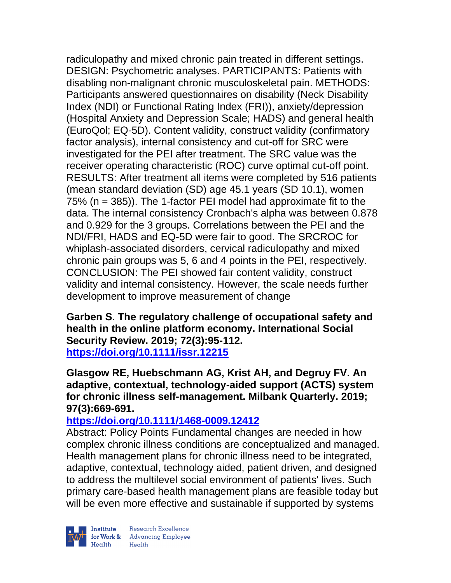radiculopathy and mixed chronic pain treated in different settings. DESIGN: Psychometric analyses. PARTICIPANTS: Patients with disabling non-malignant chronic musculoskeletal pain. METHODS: Participants answered questionnaires on disability (Neck Disability Index (NDI) or Functional Rating Index (FRI)), anxiety/depression (Hospital Anxiety and Depression Scale; HADS) and general health (EuroQol; EQ-5D). Content validity, construct validity (confirmatory factor analysis), internal consistency and cut-off for SRC were investigated for the PEI after treatment. The SRC value was the receiver operating characteristic (ROC) curve optimal cut-off point. RESULTS: After treatment all items were completed by 516 patients (mean standard deviation (SD) age 45.1 years (SD 10.1), women 75% (n = 385)). The 1-factor PEI model had approximate fit to the data. The internal consistency Cronbach's alpha was between 0.878 and 0.929 for the 3 groups. Correlations between the PEI and the NDI/FRI, HADS and EQ-5D were fair to good. The SRCROC for whiplash-associated disorders, cervical radiculopathy and mixed chronic pain groups was 5, 6 and 4 points in the PEI, respectively. CONCLUSION: The PEI showed fair content validity, construct validity and internal consistency. However, the scale needs further development to improve measurement of change

**Garben S. The regulatory challenge of occupational safety and health in the online platform economy. International Social Security Review. 2019; 72(3):95-112. <https://doi.org/10.1111/issr.12215>** 

**Glasgow RE, Huebschmann AG, Krist AH, and Degruy FV. An adaptive, contextual, technology-aided support (ACTS) system for chronic illness self-management. Milbank Quarterly. 2019; 97(3):669-691.** 

# **<https://doi.org/10.1111/1468-0009.12412>**

Abstract: Policy Points Fundamental changes are needed in how complex chronic illness conditions are conceptualized and managed. Health management plans for chronic illness need to be integrated, adaptive, contextual, technology aided, patient driven, and designed to address the multilevel social environment of patients' lives. Such primary care-based health management plans are feasible today but will be even more effective and sustainable if supported by systems

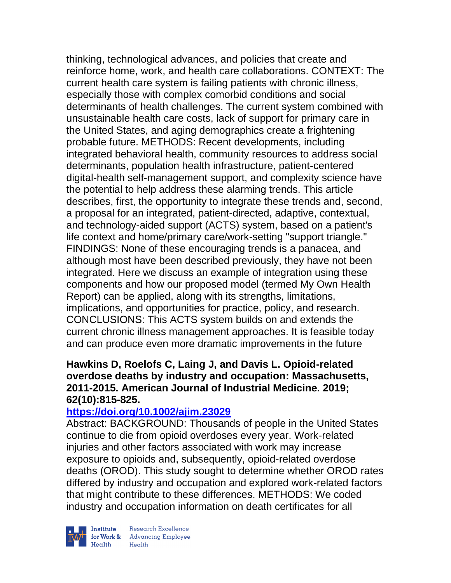thinking, technological advances, and policies that create and reinforce home, work, and health care collaborations. CONTEXT: The current health care system is failing patients with chronic illness, especially those with complex comorbid conditions and social determinants of health challenges. The current system combined with unsustainable health care costs, lack of support for primary care in the United States, and aging demographics create a frightening probable future. METHODS: Recent developments, including integrated behavioral health, community resources to address social determinants, population health infrastructure, patient-centered digital-health self-management support, and complexity science have the potential to help address these alarming trends. This article describes, first, the opportunity to integrate these trends and, second, a proposal for an integrated, patient-directed, adaptive, contextual, and technology-aided support (ACTS) system, based on a patient's life context and home/primary care/work-setting "support triangle." FINDINGS: None of these encouraging trends is a panacea, and although most have been described previously, they have not been integrated. Here we discuss an example of integration using these components and how our proposed model (termed My Own Health Report) can be applied, along with its strengths, limitations, implications, and opportunities for practice, policy, and research. CONCLUSIONS: This ACTS system builds on and extends the current chronic illness management approaches. It is feasible today and can produce even more dramatic improvements in the future

## **Hawkins D, Roelofs C, Laing J, and Davis L. Opioid-related overdose deaths by industry and occupation: Massachusetts, 2011-2015. American Journal of Industrial Medicine. 2019; 62(10):815-825.**

## **<https://doi.org/10.1002/ajim.23029>**

Abstract: BACKGROUND: Thousands of people in the United States continue to die from opioid overdoses every year. Work-related injuries and other factors associated with work may increase exposure to opioids and, subsequently, opioid-related overdose deaths (OROD). This study sought to determine whether OROD rates differed by industry and occupation and explored work-related factors that might contribute to these differences. METHODS: We coded industry and occupation information on death certificates for all



| Research Excellence Finantium Research Excellence<br>
Finantium Research Employee<br>
Realth Health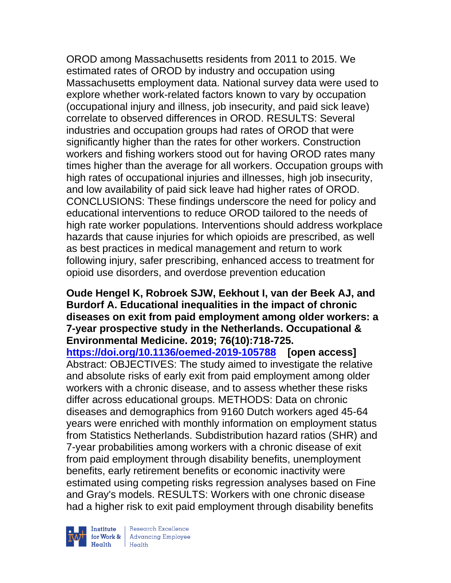OROD among Massachusetts residents from 2011 to 2015. We estimated rates of OROD by industry and occupation using Massachusetts employment data. National survey data were used to explore whether work-related factors known to vary by occupation (occupational injury and illness, job insecurity, and paid sick leave) correlate to observed differences in OROD. RESULTS: Several industries and occupation groups had rates of OROD that were significantly higher than the rates for other workers. Construction workers and fishing workers stood out for having OROD rates many times higher than the average for all workers. Occupation groups with high rates of occupational injuries and illnesses, high job insecurity, and low availability of paid sick leave had higher rates of OROD. CONCLUSIONS: These findings underscore the need for policy and educational interventions to reduce OROD tailored to the needs of high rate worker populations. Interventions should address workplace hazards that cause injuries for which opioids are prescribed, as well as best practices in medical management and return to work following injury, safer prescribing, enhanced access to treatment for opioid use disorders, and overdose prevention education

### **Oude Hengel K, Robroek SJW, Eekhout I, van der Beek AJ, and Burdorf A. Educational inequalities in the impact of chronic diseases on exit from paid employment among older workers: a 7-year prospective study in the Netherlands. Occupational & Environmental Medicine. 2019; 76(10):718-725.**

**<https://doi.org/10.1136/oemed-2019-105788> [open access]**  Abstract: OBJECTIVES: The study aimed to investigate the relative and absolute risks of early exit from paid employment among older workers with a chronic disease, and to assess whether these risks differ across educational groups. METHODS: Data on chronic diseases and demographics from 9160 Dutch workers aged 45-64 years were enriched with monthly information on employment status from Statistics Netherlands. Subdistribution hazard ratios (SHR) and 7-year probabilities among workers with a chronic disease of exit from paid employment through disability benefits, unemployment benefits, early retirement benefits or economic inactivity were estimated using competing risks regression analyses based on Fine and Gray's models. RESULTS: Workers with one chronic disease had a higher risk to exit paid employment through disability benefits

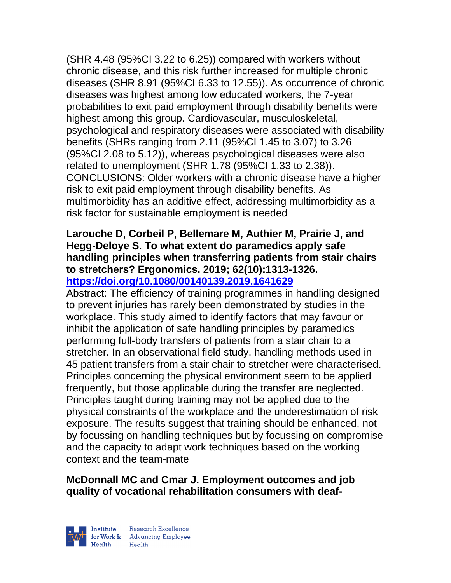(SHR 4.48 (95%CI 3.22 to 6.25)) compared with workers without chronic disease, and this risk further increased for multiple chronic diseases (SHR 8.91 (95%CI 6.33 to 12.55)). As occurrence of chronic diseases was highest among low educated workers, the 7-year probabilities to exit paid employment through disability benefits were highest among this group. Cardiovascular, musculoskeletal, psychological and respiratory diseases were associated with disability benefits (SHRs ranging from 2.11 (95%CI 1.45 to 3.07) to 3.26 (95%CI 2.08 to 5.12)), whereas psychological diseases were also related to unemployment (SHR 1.78 (95%CI 1.33 to 2.38)). CONCLUSIONS: Older workers with a chronic disease have a higher risk to exit paid employment through disability benefits. As multimorbidity has an additive effect, addressing multimorbidity as a risk factor for sustainable employment is needed

#### **Larouche D, Corbeil P, Bellemare M, Authier M, Prairie J, and Hegg-Deloye S. To what extent do paramedics apply safe handling principles when transferring patients from stair chairs to stretchers? Ergonomics. 2019; 62(10):1313-1326. <https://doi.org/10.1080/00140139.2019.1641629>**

Abstract: The efficiency of training programmes in handling designed to prevent injuries has rarely been demonstrated by studies in the workplace. This study aimed to identify factors that may favour or inhibit the application of safe handling principles by paramedics performing full-body transfers of patients from a stair chair to a stretcher. In an observational field study, handling methods used in 45 patient transfers from a stair chair to stretcher were characterised. Principles concerning the physical environment seem to be applied frequently, but those applicable during the transfer are neglected. Principles taught during training may not be applied due to the physical constraints of the workplace and the underestimation of risk exposure. The results suggest that training should be enhanced, not by focussing on handling techniques but by focussing on compromise and the capacity to adapt work techniques based on the working context and the team-mate

# **McDonnall MC and Cmar J. Employment outcomes and job quality of vocational rehabilitation consumers with deaf-**



| Research Excellence **Example 18 Advancing Employee**<br> **Health** Health<br>
Health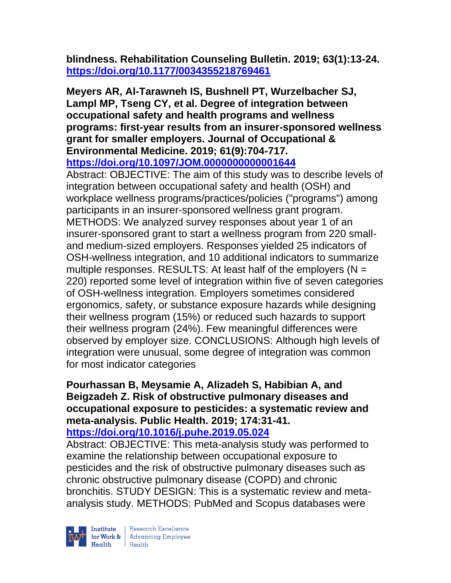**blindness. Rehabilitation Counseling Bulletin. 2019; 63(1):13-24. <https://doi.org/10.1177/0034355218769461>** 

**Meyers AR, Al-Tarawneh IS, Bushnell PT, Wurzelbacher SJ, Lampl MP, Tseng CY, et al. Degree of integration between occupational safety and health programs and wellness programs: first-year results from an insurer-sponsored wellness grant for smaller employers. Journal of Occupational & Environmental Medicine. 2019; 61(9):704-717. <https://doi.org/10.1097/JOM.0000000000001644>** 

Abstract: OBJECTIVE: The aim of this study was to describe levels of integration between occupational safety and health (OSH) and workplace wellness programs/practices/policies ("programs") among participants in an insurer-sponsored wellness grant program. METHODS: We analyzed survey responses about year 1 of an insurer-sponsored grant to start a wellness program from 220 smalland medium-sized employers. Responses yielded 25 indicators of OSH-wellness integration, and 10 additional indicators to summarize multiple responses. RESULTS: At least half of the employers ( $N =$ 220) reported some level of integration within five of seven categories of OSH-wellness integration. Employers sometimes considered ergonomics, safety, or substance exposure hazards while designing their wellness program (15%) or reduced such hazards to support their wellness program (24%). Few meaningful differences were observed by employer size. CONCLUSIONS: Although high levels of integration were unusual, some degree of integration was common for most indicator categories

# **Pourhassan B, Meysamie A, Alizadeh S, Habibian A, and Beigzadeh Z. Risk of obstructive pulmonary diseases and occupational exposure to pesticides: a systematic review and meta-analysis. Public Health. 2019; 174:31-41.**

# **<https://doi.org/10.1016/j.puhe.2019.05.024>**

Abstract: OBJECTIVE: This meta-analysis study was performed to examine the relationship between occupational exposure to pesticides and the risk of obstructive pulmonary diseases such as chronic obstructive pulmonary disease (COPD) and chronic bronchitis. STUDY DESIGN: This is a systematic review and metaanalysis study. METHODS: PubMed and Scopus databases were

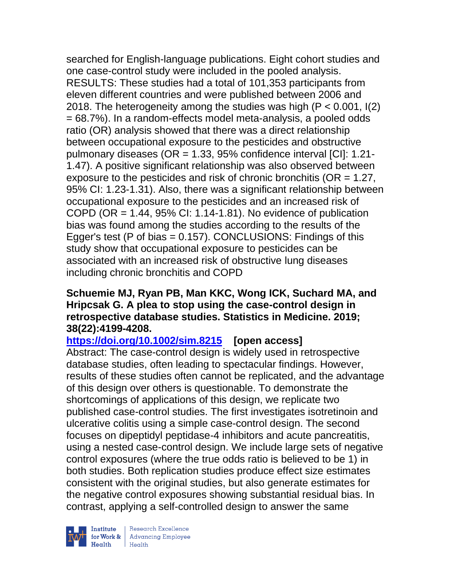searched for English-language publications. Eight cohort studies and one case-control study were included in the pooled analysis. RESULTS: These studies had a total of 101,353 participants from eleven different countries and were published between 2006 and 2018. The heterogeneity among the studies was high (P < 0.001, I(2) = 68.7%). In a random-effects model meta-analysis, a pooled odds ratio (OR) analysis showed that there was a direct relationship between occupational exposure to the pesticides and obstructive pulmonary diseases (OR = 1.33, 95% confidence interval [CI]: 1.21- 1.47). A positive significant relationship was also observed between exposure to the pesticides and risk of chronic bronchitis (OR = 1.27, 95% CI: 1.23-1.31). Also, there was a significant relationship between occupational exposure to the pesticides and an increased risk of COPD (OR  $= 1.44$ , 95% CI: 1.14-1.81). No evidence of publication bias was found among the studies according to the results of the Egger's test (P of bias = 0.157). CONCLUSIONS: Findings of this study show that occupational exposure to pesticides can be associated with an increased risk of obstructive lung diseases including chronic bronchitis and COPD

## **Schuemie MJ, Ryan PB, Man KKC, Wong ICK, Suchard MA, and Hripcsak G. A plea to stop using the case-control design in retrospective database studies. Statistics in Medicine. 2019; 38(22):4199-4208.**

**<https://doi.org/10.1002/sim.8215> [open access]**  Abstract: The case-control design is widely used in retrospective database studies, often leading to spectacular findings. However, results of these studies often cannot be replicated, and the advantage of this design over others is questionable. To demonstrate the shortcomings of applications of this design, we replicate two published case-control studies. The first investigates isotretinoin and ulcerative colitis using a simple case-control design. The second focuses on dipeptidyl peptidase-4 inhibitors and acute pancreatitis, using a nested case-control design. We include large sets of negative control exposures (where the true odds ratio is believed to be 1) in both studies. Both replication studies produce effect size estimates consistent with the original studies, but also generate estimates for the negative control exposures showing substantial residual bias. In contrast, applying a self-controlled design to answer the same



| Research Excellence for Work & Advancing Employee<br>Health Health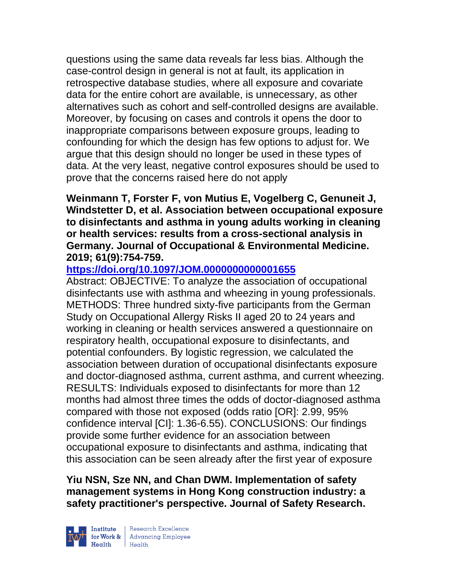questions using the same data reveals far less bias. Although the case-control design in general is not at fault, its application in retrospective database studies, where all exposure and covariate data for the entire cohort are available, is unnecessary, as other alternatives such as cohort and self-controlled designs are available. Moreover, by focusing on cases and controls it opens the door to inappropriate comparisons between exposure groups, leading to confounding for which the design has few options to adjust for. We argue that this design should no longer be used in these types of data. At the very least, negative control exposures should be used to prove that the concerns raised here do not apply

**Weinmann T, Forster F, von Mutius E, Vogelberg C, Genuneit J, Windstetter D, et al. Association between occupational exposure to disinfectants and asthma in young adults working in cleaning or health services: results from a cross-sectional analysis in Germany. Journal of Occupational & Environmental Medicine. 2019; 61(9):754-759.** 

# **<https://doi.org/10.1097/JOM.0000000000001655>**

Abstract: OBJECTIVE: To analyze the association of occupational disinfectants use with asthma and wheezing in young professionals. METHODS: Three hundred sixty-five participants from the German Study on Occupational Allergy Risks II aged 20 to 24 years and working in cleaning or health services answered a questionnaire on respiratory health, occupational exposure to disinfectants, and potential confounders. By logistic regression, we calculated the association between duration of occupational disinfectants exposure and doctor-diagnosed asthma, current asthma, and current wheezing. RESULTS: Individuals exposed to disinfectants for more than 12 months had almost three times the odds of doctor-diagnosed asthma compared with those not exposed (odds ratio [OR]: 2.99, 95% confidence interval [CI]: 1.36-6.55). CONCLUSIONS: Our findings provide some further evidence for an association between occupational exposure to disinfectants and asthma, indicating that this association can be seen already after the first year of exposure

**Yiu NSN, Sze NN, and Chan DWM. Implementation of safety management systems in Hong Kong construction industry: a safety practitioner's perspective. Journal of Safety Research.** 



| Research Excellence for Work & Advancing Employee<br>Health Health